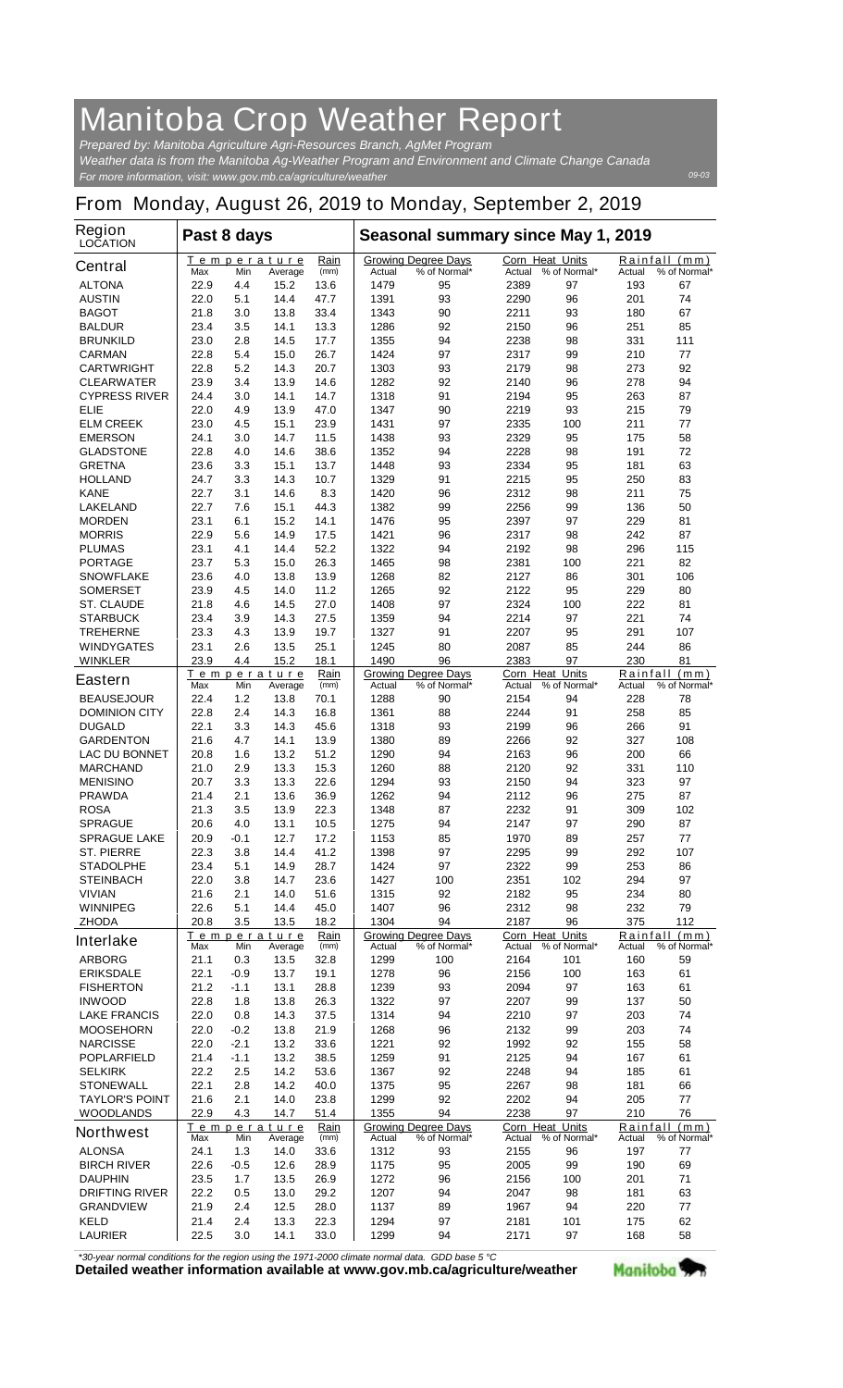## **Manitoba Crop Weather Report**

*For more information, visit: www.gov.mb.ca/agriculture/weather Prepared by: Manitoba Agriculture Agri-Resources Branch, AgMet Program Weather data is from the Manitoba Ag-Weather Program and Environment and Climate Change Canada*

## **From Monday, August 26, 2019 to Monday, September 2, 2019**

| <b>Region</b><br><b>LOCATION</b>     | Past 8 days                                          |            |                               |              | Seasonal summary since May 1, 2019                   |                                            |                                  |                     |                                         |                               |  |
|--------------------------------------|------------------------------------------------------|------------|-------------------------------|--------------|------------------------------------------------------|--------------------------------------------|----------------------------------|---------------------|-----------------------------------------|-------------------------------|--|
| <b>Central</b>                       | Max                                                  | Min        | <b>Temperature</b><br>Average | Rain<br>(mm) | Actual                                               | <b>Growing Degree Days</b><br>% of Normal* | <b>Corn Heat Units</b><br>Actual | % of Normal*        | Actual                                  | Rainfall (mm)<br>% of Normal* |  |
| <b>ALTONA</b>                        | 22.9                                                 | 4.4        | 15.2                          | 13.6         | 1479                                                 | 95                                         | 2389                             | 97                  | 193                                     | 67                            |  |
| <b>AUSTIN</b>                        | 22.0                                                 | 5.1        | 14.4                          | 47.7         | 1391                                                 | 93                                         | 2290                             | 96                  | 201                                     | 74                            |  |
| <b>BAGOT</b>                         | 21.8                                                 | 3.0        | 13.8                          | 33.4         | 1343                                                 | 90                                         | 2211                             | 93                  | 180                                     | 67                            |  |
| <b>BALDUR</b>                        | 23.4                                                 | 3.5        | 14.1                          | 13.3         | 1286                                                 | 92                                         | 2150                             | 96                  | 251                                     | 85                            |  |
| <b>BRUNKILD</b>                      | 23.0                                                 | 2.8        | 14.5                          | 17.7         | 1355                                                 | 94                                         | 2238                             | 98                  | 331                                     | 111                           |  |
| <b>CARMAN</b>                        | 22.8                                                 | 5.4        | 15.0                          | 26.7         | 1424                                                 | 97                                         | 2317                             | 99                  | 210                                     | 77                            |  |
| <b>CARTWRIGHT</b>                    | 22.8                                                 | 5.2        | 14.3                          | 20.7         | 1303                                                 | 93                                         | 2179                             | 98                  | 273                                     | 92                            |  |
| <b>CLEARWATER</b>                    | 23.9                                                 | 3.4        | 13.9                          | 14.6         | 1282                                                 | 92                                         | 2140                             | 96                  | 278                                     | 94                            |  |
| <b>CYPRESS RIVER</b><br><b>ELIE</b>  | 24.4<br>22.0                                         | 3.0        | 14.1<br>13.9                  | 14.7<br>47.0 | 1318                                                 | 91                                         | 2194<br>2219                     | 95<br>93            | 263<br>215                              | 87<br>79                      |  |
| <b>ELM CREEK</b>                     | 23.0                                                 | 4.9<br>4.5 | 15.1                          | 23.9         | 1347<br>1431                                         | 90<br>97                                   | 2335                             | 100                 | 211                                     | 77                            |  |
| <b>EMERSON</b>                       | 24.1                                                 | 3.0        | 14.7                          | 11.5         | 1438                                                 | 93                                         | 2329                             | 95                  | 175                                     | 58                            |  |
| <b>GLADSTONE</b>                     | 22.8                                                 | 4.0        | 14.6                          | 38.6         | 1352                                                 | 94                                         | 2228                             | 98                  | 191                                     | 72                            |  |
| <b>GRETNA</b>                        | 23.6                                                 | 3.3        | 15.1                          | 13.7         | 1448                                                 | 93                                         | 2334                             | 95                  | 181                                     | 63                            |  |
| <b>HOLLAND</b>                       | 24.7                                                 | 3.3        | 14.3                          | 10.7         | 1329                                                 | 91                                         | 2215                             | 95                  | 250                                     | 83                            |  |
| <b>KANE</b>                          | 22.7                                                 | 3.1        | 14.6                          | 8.3          | 1420                                                 | 96                                         | 2312                             | 98                  | 211                                     | 75                            |  |
| <b>LAKELAND</b>                      | 22.7                                                 | 7.6        | 15.1                          | 44.3         | 1382                                                 | 99                                         | 2256                             | 99                  | 136                                     | 50                            |  |
| <b>MORDEN</b>                        | 23.1                                                 | 6.1        | 15.2                          | 14.1         | 1476                                                 | 95                                         | 2397                             | 97                  | 229                                     | 81                            |  |
| <b>MORRIS</b>                        | 22.9                                                 | 5.6        | 14.9                          | 17.5         | 1421                                                 | 96                                         | 2317                             | 98                  | 242                                     | 87                            |  |
| <b>PLUMAS</b>                        | 23.1                                                 | 4.1        | 14.4                          | 52.2         | 1322                                                 | 94                                         | 2192                             | 98                  | 296                                     | 115                           |  |
| <b>PORTAGE</b>                       | 23.7                                                 | 5.3        | 15.0                          | 26.3         | 1465                                                 | 98                                         | 2381                             | 100                 | 221                                     | 82                            |  |
| <b>SNOWFLAKE</b>                     | 23.6                                                 | 4.0        | 13.8                          | 13.9         | 1268                                                 | 82                                         | 2127                             | 86                  | 301                                     | 106                           |  |
| <b>SOMERSET</b>                      | 23.9                                                 | 4.5<br>4.6 | 14.0<br>14.5                  | 11.2<br>27.0 | 1265                                                 | 92<br>97                                   | 2122                             | 95                  | 229<br>222                              | 80<br>81                      |  |
| <b>ST. CLAUDE</b><br><b>STARBUCK</b> | 21.8<br>23.4                                         | 3.9        | 14.3                          | 27.5         | 1408<br>1359                                         | 94                                         | 2324<br>2214                     | 100<br>97           | 221                                     | 74                            |  |
| <b>TREHERNE</b>                      | 23.3                                                 | 4.3        | 13.9                          | 19.7         | 1327                                                 | 91                                         | 2207                             | 95                  | 291                                     | 107                           |  |
| <b>WINDYGATES</b>                    | 23.1                                                 | 2.6        | 13.5                          | 25.1         | 1245                                                 | 80                                         | 2087                             | 85                  | 244                                     | 86                            |  |
| <b>WINKLER</b>                       | 23.9                                                 | 4.4        | 15.2                          | 18.1         | 1490                                                 | 96                                         | 2383                             | 97                  | 230                                     | 81                            |  |
| <b>Eastern</b>                       | Rain<br>Temperature<br>Max<br>(mm)<br>Min<br>Average |            |                               |              | <b>Growing Degree Days</b><br>Actual<br>% of Normal* |                                            | <b>Corn Heat Units</b><br>Actual | % of Normal*        | Rainfall (mm)<br>Actual<br>% of Normal* |                               |  |
| <b>BEAUSEJOUR</b>                    | 22.4                                                 | 1.2        | 13.8                          | 70.1         | 1288                                                 | 90                                         | 2154                             | 94                  | 228                                     | 78                            |  |
| <b>DOMINION CITY</b>                 | 22.8                                                 | 2.4        | 14.3                          | 16.8         | 1361                                                 | 88                                         | 2244                             | 91                  | 258                                     | 85                            |  |
| <b>DUGALD</b>                        | 22.1                                                 | 3.3        | 14.3                          | 45.6         | 1318                                                 | 93                                         | 2199                             | 96                  | 266                                     | 91                            |  |
| <b>GARDENTON</b>                     | 21.6                                                 | 4.7        | 14.1                          | 13.9         | 1380                                                 | 89                                         | 2266                             | 92                  | 327                                     | 108                           |  |
| <b>LAC DU BONNET</b>                 | 20.8                                                 | 1.6        | 13.2                          | 51.2         | 1290                                                 | 94                                         | 2163                             | 96                  | 200                                     | 66                            |  |
| <b>MARCHAND</b><br><b>MENISINO</b>   | 21.0<br>20.7                                         | 2.9<br>3.3 | 13.3<br>13.3                  | 15.3<br>22.6 | 1260<br>1294                                         | 88<br>93                                   | 2120<br>2150                     | 92<br>94            | 331<br>323                              | 110<br>97                     |  |
| <b>PRAWDA</b>                        | 21.4                                                 | 2.1        | 13.6                          | 36.9         | 1262                                                 | 94                                         | 2112                             | 96                  | 275                                     | 87                            |  |
| <b>ROSA</b>                          | 21.3                                                 | 3.5        | 13.9                          | 22.3         | 1348                                                 | 87                                         | 2232                             | 91                  | 309                                     | 102                           |  |
| <b>SPRAGUE</b>                       | 20.6                                                 | 4.0        | 13.1                          | 10.5         | 1275                                                 | 94                                         | 2147                             | 97                  | 290                                     | 87                            |  |
| <b>SPRAGUE LAKE</b>                  | 20.9                                                 | $-0.1$     | 12.7                          | 17.2         | 1153                                                 | 85                                         | 1970                             | 89                  | 257                                     | 77                            |  |
| <b>ST. PIERRE</b>                    | 22.3                                                 | 3.8        | 14.4                          | 41.2         | 1398                                                 | 97                                         | 2295                             | 99                  | 292                                     | 107                           |  |
| <b>STADOLPHE</b>                     | 23.4                                                 | 5.1        | 14.9                          | 28.7         | 1424                                                 | 97                                         | 2322                             | 99                  | 253                                     | 86                            |  |
| <b>STEINBACH</b>                     | 22.0                                                 | 3.8        | 14.7                          | 23.6         | 1427                                                 | 100                                        | 2351                             | 102                 | 294                                     | 97                            |  |
| <b>VIVIAN</b>                        | 21.6                                                 | 2.1        | 14.0                          | 51.6         | 1315                                                 | 92                                         | 2182                             | 95                  | 234                                     | 80                            |  |
| <b>WINNIPEG</b>                      | 22.6                                                 | 5.1        | 14.4                          | 45.0         | 1407                                                 | 96                                         | 2312                             | 98                  | 232                                     | 79                            |  |
| <b>ZHODA</b>                         | 20.8                                                 | 3.5        | 13.5                          | 18.2         | 1304                                                 | 94                                         | 2187                             | 96                  | 375                                     | 112                           |  |
| <b>Interlake</b>                     | Max                                                  | Min        | Temperature<br>Average        | Rain<br>(mm) | <b>Actual</b>                                        | <b>Growing Degree Days</b><br>% of Normal* | Corn Heat Units                  | Actual % of Normal* | Actual                                  | Rainfall (mm)<br>% of Normal* |  |
| <b>ARBORG</b>                        | 21.1                                                 | 0.3        | 13.5                          | 32.8         | 1299                                                 | 100                                        | 2164                             | 101                 | 160                                     | 59                            |  |
| <b>ERIKSDALE</b>                     | 22.1                                                 | -0.9       | 13.7                          | 19.1         | 1278                                                 | 96                                         | 2156                             | 100                 | 163                                     | 61                            |  |
| <b>FISHERTON</b>                     | 21.2                                                 | $-1.1$     | 13.1                          | 28.8         | 1239                                                 | 93                                         | 2094                             | 97                  | 163                                     | 61                            |  |
| <b>INWOOD</b>                        | 22.8                                                 | 1.8        | 13.8                          | 26.3         | 1322                                                 | 97                                         | 2207                             | 99                  | 137                                     | 50                            |  |
| <b>LAKE FRANCIS</b>                  | 22.0                                                 | 0.8        | 14.3                          | 37.5         | 1314                                                 | 94                                         | 2210                             | 97                  | 203                                     | 74                            |  |
| <b>MOOSEHORN</b>                     | 22.0                                                 | $-0.2$     | 13.8                          | 21.9         | 1268                                                 | 96                                         | 2132                             | 99                  | 203                                     | 74                            |  |
| <b>NARCISSE</b>                      | 22.0                                                 | -2.1       | 13.2                          | 33.6         | 1221                                                 | 92                                         | 1992                             | 92                  | 155                                     | 58                            |  |
| <b>POPLARFIELD</b>                   | 21.4                                                 | $-1.1$     | 13.2                          | 38.5         | 1259                                                 | 91                                         | 2125                             | 94                  | 167                                     | 61                            |  |
| <b>SELKIRK</b>                       | 22.2                                                 | 2.5        | 14.2                          | 53.6         | 1367                                                 | 92                                         | 2248                             | 94                  | 185                                     | 61                            |  |
| <b>STONEWALL</b>                     | 22.1                                                 | 2.8        | 14.2                          | 40.0         | 1375                                                 | 95                                         | 2267                             | 98                  | 181                                     | 66                            |  |
| <b>TAYLOR'S POINT</b>                | 21.6<br>22.9                                         | 2.1<br>4.3 | 14.0<br>14.7                  | 23.8         | 1299<br>1355                                         | 92<br>94                                   | 2202<br>2238                     | 94<br>97            | 205                                     | 77<br>76                      |  |
| <b>WOODLANDS</b><br><b>Northwest</b> |                                                      |            | <u>Temperature</u>            | 51.4<br>Rain |                                                      | <b>Growing Degree Days</b>                 | Corn Heat Units                  |                     | 210                                     | Rainfall (mm)                 |  |
| <b>ALONSA</b>                        | Max<br>24.1                                          | Min<br>1.3 | Average<br>14.0               | (mm)<br>33.6 | Actual<br>1312                                       | % of Normal*<br>93                         | Actual<br>2155                   | % of Normal*<br>96  | Actual<br>197                           | % of Normal*<br>77            |  |
| <b>BIRCH RIVER</b>                   | 22.6                                                 | -0.5       | 12.6                          | 28.9         | 1175                                                 | 95                                         | 2005                             | 99                  | 190                                     | 69                            |  |
| <b>DAUPHIN</b>                       | 23.5                                                 | 1.7        | 13.5                          | 26.9         | 1272                                                 | 96                                         | 2156                             | 100                 | 201                                     | 71                            |  |
| <b>DRIFTING RIVER</b>                | 22.2                                                 | 0.5        | 13.0                          | 29.2         | 1207                                                 | 94                                         | 2047                             | 98                  | 181                                     | 63                            |  |
| <b>GRANDVIEW</b>                     | 21.9                                                 | 2.4        | 12.5                          | 28.0         | 1137                                                 | 89                                         | 1967                             | 94                  | 220                                     | 77                            |  |
| <b>KELD</b>                          | 21.4                                                 | 2.4        | 13.3                          | 22.3         | 1294                                                 | 97                                         | 2181                             | 101                 | 175                                     | 62                            |  |
| <b>LAURIER</b>                       | 22.5                                                 | 3.0        | 14.1                          | 33.0         | 1299                                                 | 94                                         | 2171                             | 97                  | 168                                     | 58                            |  |

*\*30-year normal conditions for the region using the 1971-2000 climate normal data. GDD base 5 °C*<br>Detailed weather information available at www.gov.mb.ca/agriculture/weather



*09-03*